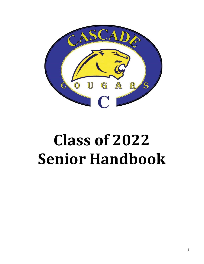

## Class of 2022 Senior Handbook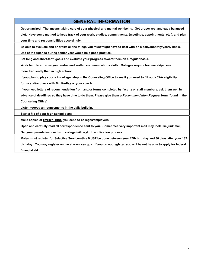| <b>GENERAL INFORMATION</b>                                                                                             |
|------------------------------------------------------------------------------------------------------------------------|
| Get organized. That means taking care of your physical and mental well-being. Get proper rest and eat a balanced       |
| diet. Have some method to keep track of your work, studies, commitments, (meetings, appointments, etc.), and plan      |
| your time and responsibilities accordingly.                                                                            |
| Be able to evaluate and prioritize all the things you must/might have to deal with on a daily/monthly/yearly basis.    |
| Use of the Agenda during senior year would be a good practice.                                                         |
| Set long and short-term goals and evaluate your progress toward them on a regular basis.                               |
| Work hard to improve your verbal and written communications skills. Colleges require homework/papers                   |
| more frequently than in high school.                                                                                   |
| If you plan to play sports in college, stop in the Counseling Office to see if you need to fill out NCAA eligibility   |
| forms and/or check with Mr. Kedley or your coach.                                                                      |
| If you need letters of recommendation from and/or forms completed by faculty or staff members, ask them well in        |
| advance of deadlines so they have time to do them. Please give them a Recommendation Request form (found in the        |
| <b>Counseling Office)</b>                                                                                              |
| Listen to/read announcements in the daily bulletin.                                                                    |
| Start a file of post-high school plans.                                                                                |
| Make copies of EVERYTHING you send to colleges/employers.                                                              |
| Open and carefully read all correspondence sent to you. (Sometimes very important mail may look like junk mail)        |
| Get your parents involved with college/military/ job application process                                               |
| Males must register for Selective Service—this MUST be done between your 17th birthday and 30 days after your 18th     |
| birthday. You may register online at www.sss.gov. If you do not register, you will be not be able to apply for federal |
| financial aid.                                                                                                         |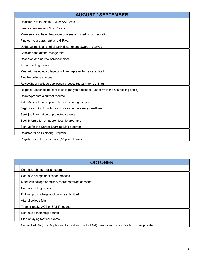| <b>AUGUST / SEPTEMBER</b>                                                                  |
|--------------------------------------------------------------------------------------------|
| Register to take/retake ACT or SAT tests.                                                  |
| Senior interview with Mrs. Phillips                                                        |
| Make sure you have the proper courses and credits for graduation                           |
| Find out your class rank and G.P.A                                                         |
| Update/compile a list of all activities, honors, awards received                           |
| Consider and attend college fairs                                                          |
| Research and narrow career choices                                                         |
| Arrange college visits                                                                     |
| Meet with selected college or military representatives at school                           |
| Finalize college choices                                                                   |
| Review/begin college application process (usually done online)                             |
| Request transcripts be sent to colleges you applied to (use form in the Counseling office) |
| Update/prepare a current resume                                                            |
| Ask 3-5 people to be your references during the year                                       |
| Begin searching for scholarships - some have early deadlines                               |
| Seek job information of projected careers                                                  |
| Seek information on apprenticeship programs                                                |
| Sign up for the Career Learning Link program                                               |
| Register for an Exploring Program                                                          |
| Register for selective service (18 year old males)                                         |

| <b>OCTOBER</b>                                          |                                                                                                    |
|---------------------------------------------------------|----------------------------------------------------------------------------------------------------|
| Continue job information search                         |                                                                                                    |
| Continue college application process                    |                                                                                                    |
| Meet with college or military representatives at school |                                                                                                    |
| Continue college visits                                 |                                                                                                    |
| Follow up on college applications submitted             |                                                                                                    |
| Attend college fairs                                    |                                                                                                    |
| Take or retake ACT or SAT if needed                     |                                                                                                    |
| Continue scholarship search                             |                                                                                                    |
| Start studying for final exams                          |                                                                                                    |
|                                                         | Submit FAFSA (Free Application for Federal Student Aid) form as soon after October 1st as possible |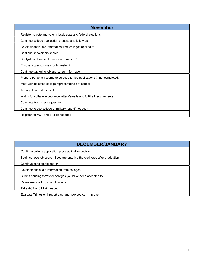| <b>November</b>                                                            |
|----------------------------------------------------------------------------|
| Register to vote and vote in local, state and federal elections.           |
| Continue college application process and follow up.                        |
| Obtain financial aid information from colleges applied to                  |
| Continue scholarship search                                                |
| Study/do well on final exams for trimester 1                               |
| Ensure proper courses for trimester 2                                      |
| Continue gathering job and career information                              |
| Prepare personal resume to be used for job applications (if not completed) |
| Meet with selected college representatives at school                       |
| Arrange final college visits                                               |
| Watch for college acceptance letters/emails and fulfill all requirements   |
| Complete transcript request form                                           |
| Continue to see college or military reps (if needed)                       |
| Register for ACT and SAT (if needed)                                       |

| <b>DECEMBER/JANUARY</b>                                                     |  |
|-----------------------------------------------------------------------------|--|
| Continue college application process/finalize decision                      |  |
| Begin serious job search if you are entering the workforce after graduation |  |
| Continue scholarship search                                                 |  |
| Obtain financial aid information from colleges                              |  |
| Submit housing forms for colleges you have been accepted to                 |  |
| Refine resume for job applications                                          |  |
| Take ACT or SAT (if needed)                                                 |  |
| Evaluate Trimester 1 report card and how you can improve                    |  |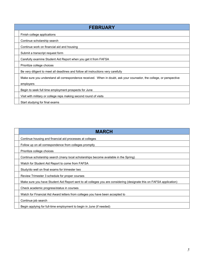| <b>FEBRUARY</b>                                                                                                      |
|----------------------------------------------------------------------------------------------------------------------|
| Finish college applications                                                                                          |
| Continue scholarship search                                                                                          |
| Continue work on financial aid and housing                                                                           |
| Submit a transcript request form                                                                                     |
| Carefully examine Student Aid Report when you get it from FAFSA                                                      |
| Prioritize college choices                                                                                           |
| Be very diligent to meet all deadlines and follow all instructions very carefully                                    |
| Make sure you understand all correspondence received. When in doubt, ask your counselor, the college, or perspective |
| employers                                                                                                            |
| Begin to seek full time employment prospects for June                                                                |
| Visit with military or college reps making second round of visits                                                    |
| Start studying for final exams                                                                                       |

| <b>MARCH</b>                                                                                                         |
|----------------------------------------------------------------------------------------------------------------------|
| Continue housing and financial aid processes at colleges                                                             |
| Follow up on all correspondence from colleges promptly                                                               |
| Prioritize college choices                                                                                           |
| Continue scholarship search (many local scholarships become available in the Spring)                                 |
| Watch for Student Aid Report to come from FAFSA                                                                      |
| Study/do well on final exams for trimester two                                                                       |
| Review Trimester 3 schedule for proper courses                                                                       |
| Make sure you have Student Aid Report sent to all colleges you are considering (designate this on FAFSA application) |
| Check academic progress/status in courses                                                                            |
| Watch for Financial Aid Award letters from colleges you have been accepted to                                        |
| Continue job search                                                                                                  |
| Begin applying for full-time employment to begin in June (if needed)                                                 |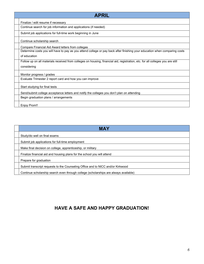| <b>APRIL</b>                                                                                                                   |
|--------------------------------------------------------------------------------------------------------------------------------|
| Finalize / edit resume if necessary                                                                                            |
| Continue search for job information and applications (if needed)                                                               |
| Submit job applications for full-time work beginning in June                                                                   |
| Continue scholarship search                                                                                                    |
| Compare Financial Aid Award letters from colleges                                                                              |
| Determine costs you will have to pay as you attend college or pay back after finishing your education when comparing costs     |
| of education                                                                                                                   |
| Follow up on all materials received from colleges on housing, financial aid, registration, etc. for all colleges you are still |
| considering                                                                                                                    |
| Monitor progress / grades                                                                                                      |
| Evaluate Trimester 2 report card and how you can improve                                                                       |
| Start studying for final tests                                                                                                 |
| Send/submit college acceptance letters and notify the colleges you don't plan on attending                                     |
| Begin graduation plans / arrangements                                                                                          |
| <b>Enjoy Prom!!</b>                                                                                                            |

| <b>MAY</b>                                                                           |
|--------------------------------------------------------------------------------------|
| Study/do well on final exams                                                         |
| Submit job applications for full-time employment                                     |
| Make final decision on college, apprenticeship, or military                          |
| Finalize financial aid and housing plans for the school you will attend              |
| Prepare for graduation                                                               |
| Submit transcript requests to the Counseling Office and to NICC and/or Kirkwood      |
| Continue scholarship search even through college (scholarships are always available) |

## HAVE A SAFE AND HAPPY GRADUATION!